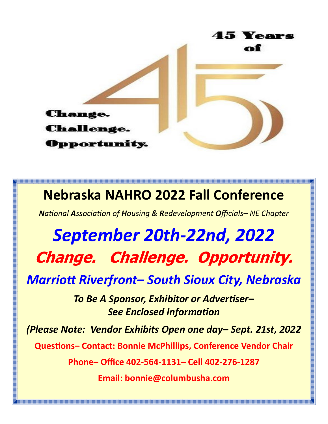

## **Nebraska NAHRO 2022 Fall Conference**

*National Association of Housing & Redevelopment Officials– NE Chapter*

# *September 20th-22nd, 2022* **Change. Challenge. Opportunity.**

## *Marriott Riverfront– South Sioux City, Nebraska*

*To Be A Sponsor, Exhibitor or Advertiser– See Enclosed Information*

*(Please Note: Vendor Exhibits Open one day– Sept. 21st, 2022*

**Questions– Contact: Bonnie McPhillips, Conference Vendor Chair**

**Phone– Office 402-564-1131– Cell 402-276-1287**

**Email: bonnie@columbusha.com**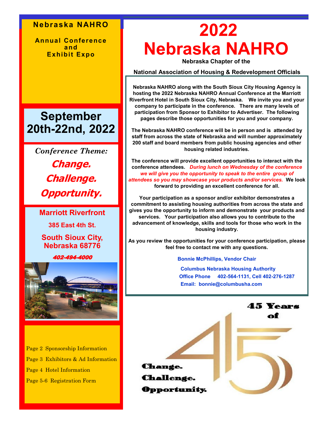#### **Nebraska NAHRO**

**Annual Conference and Exhibit Expo**

### **September 20th-22nd, 2022**

*Conference Theme:*

**Change. Challenge. Opportunity.**

**Marriott Riverfront**

**385 East 4th St.**

**South Sioux City, Nebraska 68776** 

402-494-4000



Page 2 Sponsorship Information Page 3 Exhibitors & Ad Information Page 4 Hotel Information Page 5-6 Registration Form

## **2022 Nebraska NAHRO**

**Nebraska Chapter of the**

**National Association of Housing & Redevelopment Officials**

**Nebraska NAHRO along with the South Sioux City Housing Agency is hosting the 2022 Nebraska NAHRO Annual Conference at the Marriott Riverfront Hotel in South Sioux City, Nebraska. We invite you and your company to participate in the conference. There are many levels of participation from Sponsor to Exhibitor to Advertiser. The following pages describe those opportunities for you and your company.**

**The Nebraska NAHRO conference will be in person and is attended by staff from across the state of Nebraska and will number approximately 200 staff and board members from public housing agencies and other housing related industries.**

**The conference will provide excellent opportunities to interact with the conference attendees.** *During lunch on Wednesday of the conference we will give you the opportunity to speak to the entire group of attendees so you may showcase your products and/or services.* **We look forward to providing an excellent conference for all.**

**Your participation as a sponsor and/or exhibitor demonstrates a commitment to assisting housing authorities from across the state and gives you the opportunity to inform and demonstrate your products and services. Your participation also allows you to contribute to the advancement of knowledge, skills and tools for those who work in the housing industry.**

**As you review the opportunities for your conference participation, please feel free to contact me with any questions.** 

#### **Bonnie McPhillips, Vendor Chair**

 **Columbus Nebraska Housing Authority** **Office Phone 402-564-1131, Cell 402-276-1287 Email: bonnie@columbusha.com**

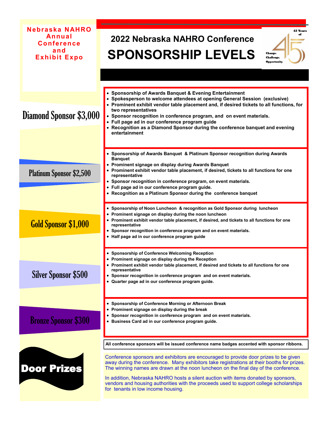| <b>Nebraska NAHRO</b><br>Annual<br><b>Conference</b><br>and<br><b>Exhibit Expo</b> | 2022 Nebraska NAHRO Conference<br><b>SPONSORSHIP LEVELS</b><br>Change<br><b>Challenge</b><br><b>Opportunity</b>                                                                                                                                                                                                                                                                                                                                                                                  |  |  |  |  |  |  |
|------------------------------------------------------------------------------------|--------------------------------------------------------------------------------------------------------------------------------------------------------------------------------------------------------------------------------------------------------------------------------------------------------------------------------------------------------------------------------------------------------------------------------------------------------------------------------------------------|--|--|--|--|--|--|
|                                                                                    |                                                                                                                                                                                                                                                                                                                                                                                                                                                                                                  |  |  |  |  |  |  |
| Diamond Sponsor \$3,000                                                            | • Sponsorship of Awards Banquet & Evening Entertainment<br>• Spokesperson to welcome attendees at opening General Session (exclusive)<br>• Prominent exhibit vendor table placement and, if desired tickets to all functions, for<br>two representatives<br>• Sponsor recognition in conference program, and on event materials.<br>• Full page ad in our conference program guide<br>• Recognition as a Diamond Sponsor during the conference banquet and evening<br>entertainment              |  |  |  |  |  |  |
| <b>Platinum Sponsor \$2,500</b>                                                    | • Sponsorship of Awards Banquet & Platinum Sponsor recognition during Awards<br><b>Banquet</b><br>• Prominent signage on display during Awards Banquet<br>• Prominent exhibit vendor table placement, if desired, tickets to all functions for one<br>representative<br>• Sponsor recognition in conference program, on event materials.<br>• Full page ad in our conference program guide.<br>• Recognition as a Platinum Sponsor during the conference banquet                                 |  |  |  |  |  |  |
| <b>Gold Sponsor \$1,000</b>                                                        | • Sponsorship of Noon Luncheon & recognition as Gold Sponsor during luncheon<br>• Prominent signage on display during the noon luncheon<br>• Prominent exhibit vendor table placement, if desired, and tickets to all functions for one<br>representative<br>• Sponsor recognition in conference program and on event materials.<br>• Half page ad in our conference program guide                                                                                                               |  |  |  |  |  |  |
| <b>Silver Sponsor \$500</b>                                                        | • Sponsorship of Conference Welcoming Reception<br>Prominent signage on display during the Reception<br>• Prominent exhibit vendor table placement, if desired and tickets to all functions for one<br>representative<br>• Sponsor recognition in conference program and on event materials.<br>• Quarter page ad in our conference program guide.                                                                                                                                               |  |  |  |  |  |  |
| <b>Bronze Sponsor \$300</b>                                                        | • Sponsorship of Conference Morning or Afternoon Break<br>• Prominent signage on display during the break<br>• Sponsor recognition in conference program and on event materials.<br>• Business Card ad in our conference program guide.                                                                                                                                                                                                                                                          |  |  |  |  |  |  |
|                                                                                    | All conference sponsors will be issued conference name badges accented with sponsor ribbons.                                                                                                                                                                                                                                                                                                                                                                                                     |  |  |  |  |  |  |
| <b>Door Prizes</b>                                                                 | Conference sponsors and exhibitors are encouraged to provide door prizes to be given<br>away during the conference. Many exhibitors take registrations at their booths for prizes.<br>The winning names are drawn at the noon luncheon on the final day of the conference.<br>In addition, Nebraska NAHRO hosts a silent auction with items donated by sponsors,<br>vendors and housing authorities with the proceeds used to support college scholarships<br>for tenants in low income housing. |  |  |  |  |  |  |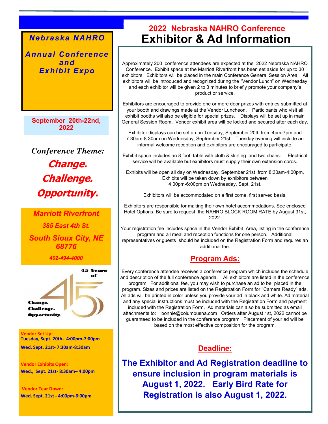*Annual Conference and Exhibit Expo*

**September 20th-22nd, 2022**

*Conference Theme:* **Change. Challenge. Opportunity.**

*Marriott Riverfront 385 East 4th St. South Sioux City, NE 68776*

*402-494-4000*



**Vendor Set Up: Tuesday, Sept. 20th- 4:00pm-7:00pm Wed. Sept. 21st- 7:30am-8:30am**

**Vendor Exhibits Open: Wed., Sept. 21st- 8:30am– 4:00pm** 

**Vendor Tear Down: Wed. Sept. 21st - 4:00pm-6:00pm** 

### **2022 Nebraska NAHRO Conference** *Nebraska NAHRO* **Exhibitor & Ad Information**

Approximately 200 conference attendees are expected at the 2022 Nebraska NAHRO Conference. Exhibit space at the Marriott Riverfront has been set aside for up to 30 exhibitors. Exhibitors will be placed in the main Conference General Session Area. All exhibitors will be introduced and recognized during the "Vendor Lunch" on Wednesday and each exhibitor will be given 2 to 3 minutes to briefly promote your company's product or service.

Exhibitors are encouraged to provide one or more door prizes with entries submitted at your booth and drawings made at the Vendor Luncheon. Participants who visit all exhibit booths will also be eligible for special prizes. Displays will be set up in main General Session Room. Vendor exhibit area will be locked and secured after each day.

Exhibitor displays can be set up on Tuesday, September 20th from 4pm-7pm and 7:30am-8:30am on Wednesday, September 21st. Tuesday evening will include an informal welcome reception and exhibitors are encouraged to participate.

Exhibit space includes an 8 foot table with cloth & skirting and two chairs. Electrical service will be available but exhibitors must supply their own extension cords.

Exhibits will be open all day on Wednesday, September 21st from 8:30am-4:00pm. Exhibits will be taken down by exhibitors between 4:00pm-6:00pm on Wednesday, Sept. 21st.

Exhibitors will be accommodated on a first come, first served basis.

Exhibitors are responsible for making their own hotel accommodations. See enclosed Hotel Options. Be sure to request the NAHRO BLOCK ROOM RATE by August 31st, 2022.

Your registration fee includes space in the Vendor Exhibit Area, listing in the conference program and all meal and reception functions for one person. Additional representatives or guests should be included on the Registration Form and requires an additional fee.

#### **Program Ads:**

Every conference attendee receives a conference program which includes the schedule and description of the full conference agenda. All exhibitors are listed in the conference program. For additional fee, you may wish to purchase an ad to be placed in the program. Sizes and prices are listed on the Registration Form for "Camera Ready" ads. All ads will be printed in color unless you provide your ad in black and white. Ad material and any special instructions must be included with the Registration Form and payment included with the Registration Form. Ad materials can also be submitted as email attachments to: bonnie@columbusha.com Orders after August 1st, 2022 cannot be guaranteed to be included in the conference program. Placement of your ad will be based on the most effective composition for the program.

#### **Deadline:**

**The Exhibitor and Ad Registration deadline to ensure inclusion in program materials is August 1, 2022. Early Bird Rate for Registration is also August 1, 2022.**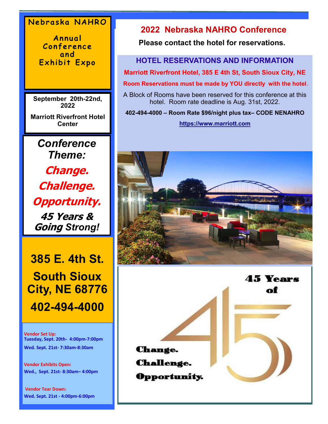#### **N e br a s k a NAHRO**

**A n n u al C o n f e r e n c e a nd Exhibit Expo** 

**September 20th-22nd, 2022**

**Marriott Riverfront Hotel Center** 

*Conference Theme:* **Change. Challenge. Opportunity. 45 Years & Going** *Strong!*

**385 E. 4th St. South Sioux City, NE 68776 402-494-4000**

**Vendor Set Up: Tuesday, Sept. 20th- 4:00pm-7:00pm Wed. Sept. 21st- 7:30am-8:30am**

**Vendor Exhibits Open: Wed., Sept. 21st- 8:30am– 4:00pm** 

**Vendor Tear Down: Wed. Sept. 21st - 4:00pm-6:00pm** 

#### **2022 Nebraska NAHRO Conference**

**Please contact the hotel for reservations.** 

#### **HOTEL RESERVATIONS AND INFORMATION**

**Marriott Riverfront Hotel, 385 E 4th St, South Sioux City, NE** 

**Room Reservations must be made by YOU directly with the hotel**.

A Block of Rooms have been reserved for this conference at this hotel. Room rate deadline is Aug. 31st, 2022.

**402-494-4000 – Room Rate \$96/night plus tax– CODE NENAHRO [https://www.marriott.com](https://www.marriott.com/event-reservations/reservation-link.mi?id=1636575309047&key=GRP&app=resvlink)**



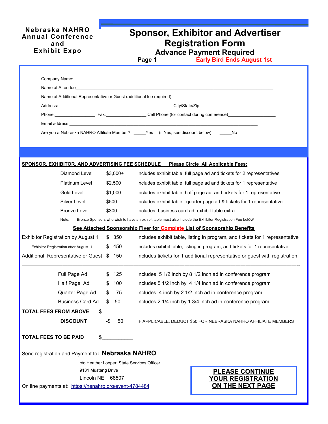#### **Nebraska NAHRO Annual Conference and Exhibit Expo**

### **Sponsor, Exhibitor and Advertiser Registration Form**

**Advance Payment Required Page 1** Early Bird Ends August 1st

|                                                        |                                                                                       | Company Name: et al. 2016 and 2017 and 2018 and 2018 and 2018 and 2018 and 2018 and 2018 and 2018 and 2018 and          |  |  |  |  |  |
|--------------------------------------------------------|---------------------------------------------------------------------------------------|-------------------------------------------------------------------------------------------------------------------------|--|--|--|--|--|
|                                                        |                                                                                       |                                                                                                                         |  |  |  |  |  |
|                                                        |                                                                                       | Name of Additional Representative or Guest (additional fee required) example and the state of Additional September 2014 |  |  |  |  |  |
|                                                        |                                                                                       |                                                                                                                         |  |  |  |  |  |
|                                                        |                                                                                       | Phone: Fax: Fax: Fax: Cell Phone (for contact during conference)                                                        |  |  |  |  |  |
|                                                        |                                                                                       |                                                                                                                         |  |  |  |  |  |
|                                                        |                                                                                       | Are you a Nebraska NAHRO Affiliate Member? _____ Yes (if Yes, see discount below)<br>No.                                |  |  |  |  |  |
|                                                        |                                                                                       |                                                                                                                         |  |  |  |  |  |
|                                                        |                                                                                       |                                                                                                                         |  |  |  |  |  |
|                                                        |                                                                                       | SPONSOR, EXHIBITOR, AND ADVERTISING FEE SCHEDULE  Please Circle All Applicable Fees:                                    |  |  |  |  |  |
| Diamond Level                                          | $$3,000+$                                                                             | includes exhibit table, full page ad and tickets for 2 representatives                                                  |  |  |  |  |  |
| <b>Platinum Level</b>                                  | \$2,500                                                                               | includes exhibit table, full page ad and tickets for 1 representative                                                   |  |  |  |  |  |
| Gold Level                                             | \$1,000                                                                               | includes exhibit table, half page ad, and tickets for 1 representative                                                  |  |  |  |  |  |
| Silver Level                                           | \$500                                                                                 | includes exhibit table, quarter page ad & tickets for 1 representative                                                  |  |  |  |  |  |
| <b>Bronze Level</b>                                    | \$300<br>includes business card ad: exhibit table extra                               |                                                                                                                         |  |  |  |  |  |
| Note:                                                  |                                                                                       | Bronze Sponsors who wish to have an exhibit table must also include the Exhibitor Registration Fee below                |  |  |  |  |  |
|                                                        |                                                                                       | See Attached Sponsorship Flyer for Complete List of Sponsorship Benefits                                                |  |  |  |  |  |
| <b>Exhibitor Registration by August 1</b>              | \$350<br>includes exhibit table, listing in program, and tickets for 1 representative |                                                                                                                         |  |  |  |  |  |
| Exhibitor Registration after August 1                  | \$<br>450                                                                             | includes exhibit table, listing in program, and tickets for 1 representative                                            |  |  |  |  |  |
| Additional Representative or Guest \$                  | 150                                                                                   | includes tickets for 1 additional representative or guest with registration                                             |  |  |  |  |  |
| Full Page Ad                                           | 125<br>\$                                                                             | includes 5 1/2 inch by 8 1/2 inch ad in conference program                                                              |  |  |  |  |  |
| Half Page Ad                                           | 100<br>S                                                                              | includes 5 1/2 inch by 4 1/4 inch ad in conference program                                                              |  |  |  |  |  |
| Quarter Page Ad                                        | S<br>75                                                                               | includes 4 inch by 2 1/2 inch ad in conference program                                                                  |  |  |  |  |  |
| <b>Business Card Ad</b>                                | \$<br>50                                                                              | includes 2 1/4 inch by 1 3/4 inch ad in conference program                                                              |  |  |  |  |  |
| <b>TOTAL FEES FROM ABOVE</b>                           |                                                                                       |                                                                                                                         |  |  |  |  |  |
| <b>DISCOUNT</b>                                        | -\$<br>50                                                                             | IF APPLICABLE, DEDUCT \$50 FOR NEBRASKA NAHRO AFFILIATE MEMBERS                                                         |  |  |  |  |  |
| <b>TOTAL FEES TO BE PAID</b>                           |                                                                                       |                                                                                                                         |  |  |  |  |  |
| Send registration and Payment to: Nebraska NAHRO       |                                                                                       |                                                                                                                         |  |  |  |  |  |
|                                                        |                                                                                       | c/o Heather Looper, State Services Officer                                                                              |  |  |  |  |  |
| 9131 Mustang Drive                                     |                                                                                       | <b>PLEASE CONTINUE</b>                                                                                                  |  |  |  |  |  |
| Lincoln NE 68507                                       |                                                                                       | <b>YOUR REGISTRATION</b>                                                                                                |  |  |  |  |  |
| On line payments at: https://nenahro.org/event-4784484 |                                                                                       | ON THE NEXT PAGE                                                                                                        |  |  |  |  |  |